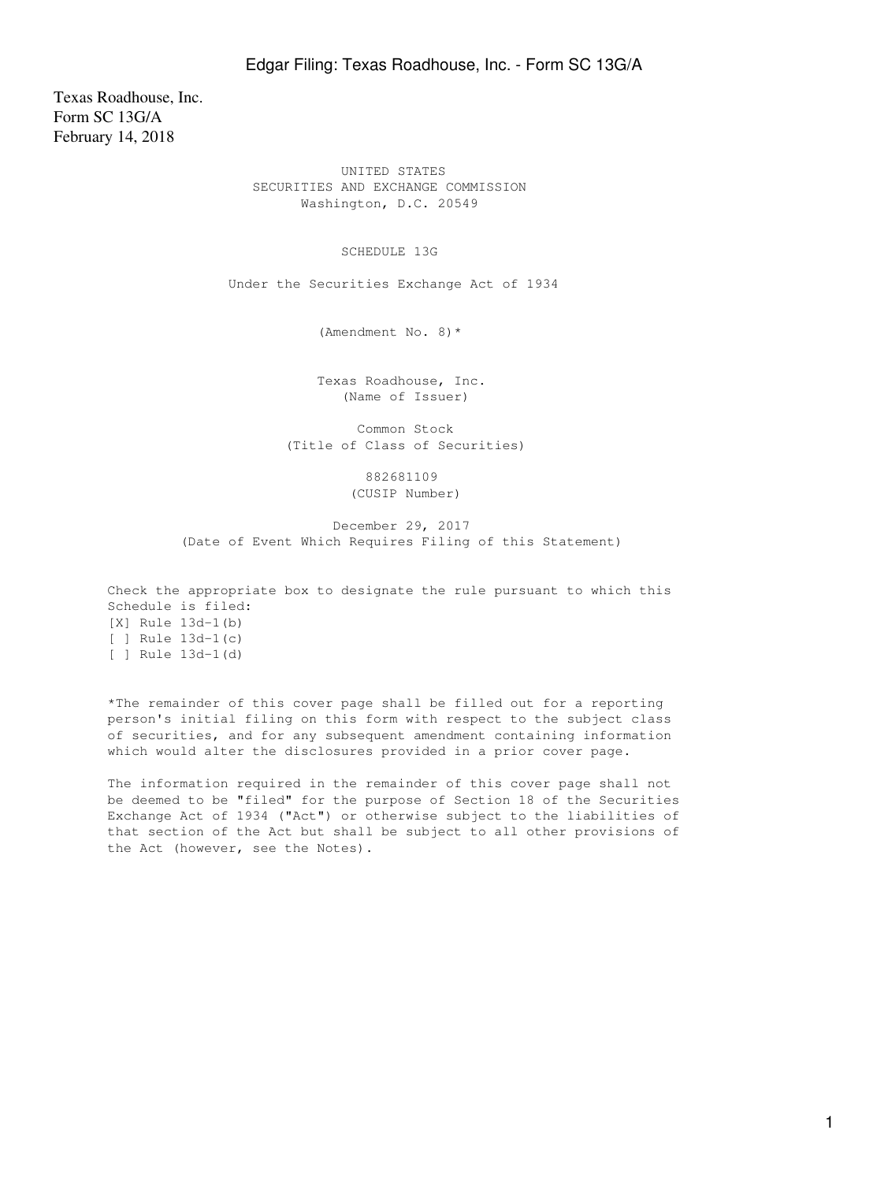Texas Roadhouse, Inc. Form SC 13G/A February 14, 2018

> UNITED STATES SECURITIES AND EXCHANGE COMMISSION Washington, D.C. 20549

> > SCHEDULE 13G

Under the Securities Exchange Act of 1934

(Amendment No. 8)\*

 Texas Roadhouse, Inc. (Name of Issuer)

 Common Stock (Title of Class of Securities)

> 882681109 (CUSIP Number)

 December 29, 2017 (Date of Event Which Requires Filing of this Statement)

Check the appropriate box to designate the rule pursuant to which this Schedule is filed: [X] Rule 13d-1(b) [ ] Rule 13d-1(c) [ ] Rule 13d-1(d)

\*The remainder of this cover page shall be filled out for a reporting person's initial filing on this form with respect to the subject class of securities, and for any subsequent amendment containing information which would alter the disclosures provided in a prior cover page.

The information required in the remainder of this cover page shall not be deemed to be "filed" for the purpose of Section 18 of the Securities Exchange Act of 1934 ("Act") or otherwise subject to the liabilities of that section of the Act but shall be subject to all other provisions of the Act (however, see the Notes).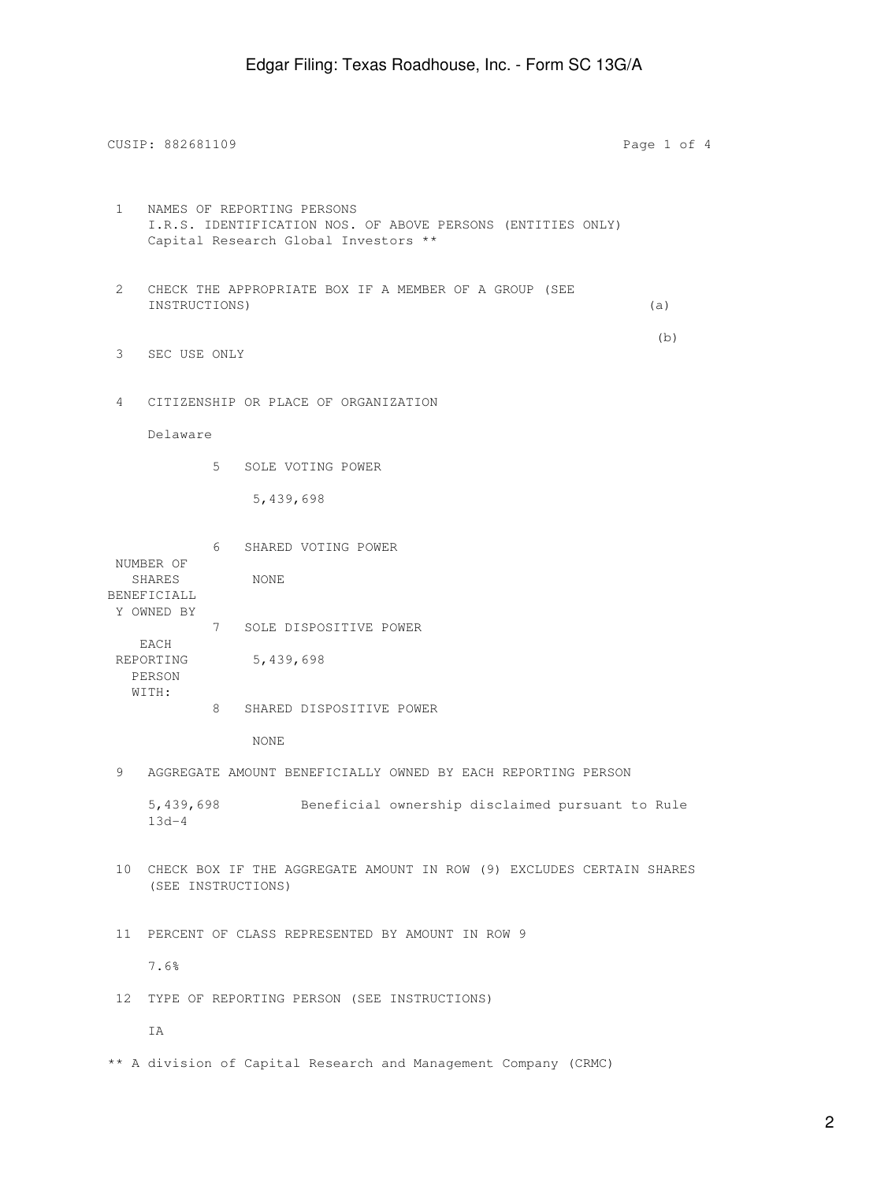CUSIP: 882681109 Page 1 of 4 1 NAMES OF REPORTING PERSONS I.R.S. IDENTIFICATION NOS. OF ABOVE PERSONS (ENTITIES ONLY) Capital Research Global Investors \*\* 2 CHECK THE APPROPRIATE BOX IF A MEMBER OF A GROUP (SEE INSTRUCTIONS) (a) (b) 3 SEC USE ONLY 4 CITIZENSHIP OR PLACE OF ORGANIZATION Delaware 5 SOLE VOTING POWER 5,439,698 6 SHARED VOTING POWER NUMBER OF SHARES NONE BENEFICIALL Y OWNED BY 7 SOLE DISPOSITIVE POWER EACH REPORTING 5,439,698 PERSON WITH: 8 SHARED DISPOSITIVE POWER NONE 9 AGGREGATE AMOUNT BENEFICIALLY OWNED BY EACH REPORTING PERSON 5,439,698 Beneficial ownership disclaimed pursuant to Rule 13d-4 10 CHECK BOX IF THE AGGREGATE AMOUNT IN ROW (9) EXCLUDES CERTAIN SHARES (SEE INSTRUCTIONS) 11 PERCENT OF CLASS REPRESENTED BY AMOUNT IN ROW 9 7.6% 12 TYPE OF REPORTING PERSON (SEE INSTRUCTIONS) IA

\*\* A division of Capital Research and Management Company (CRMC)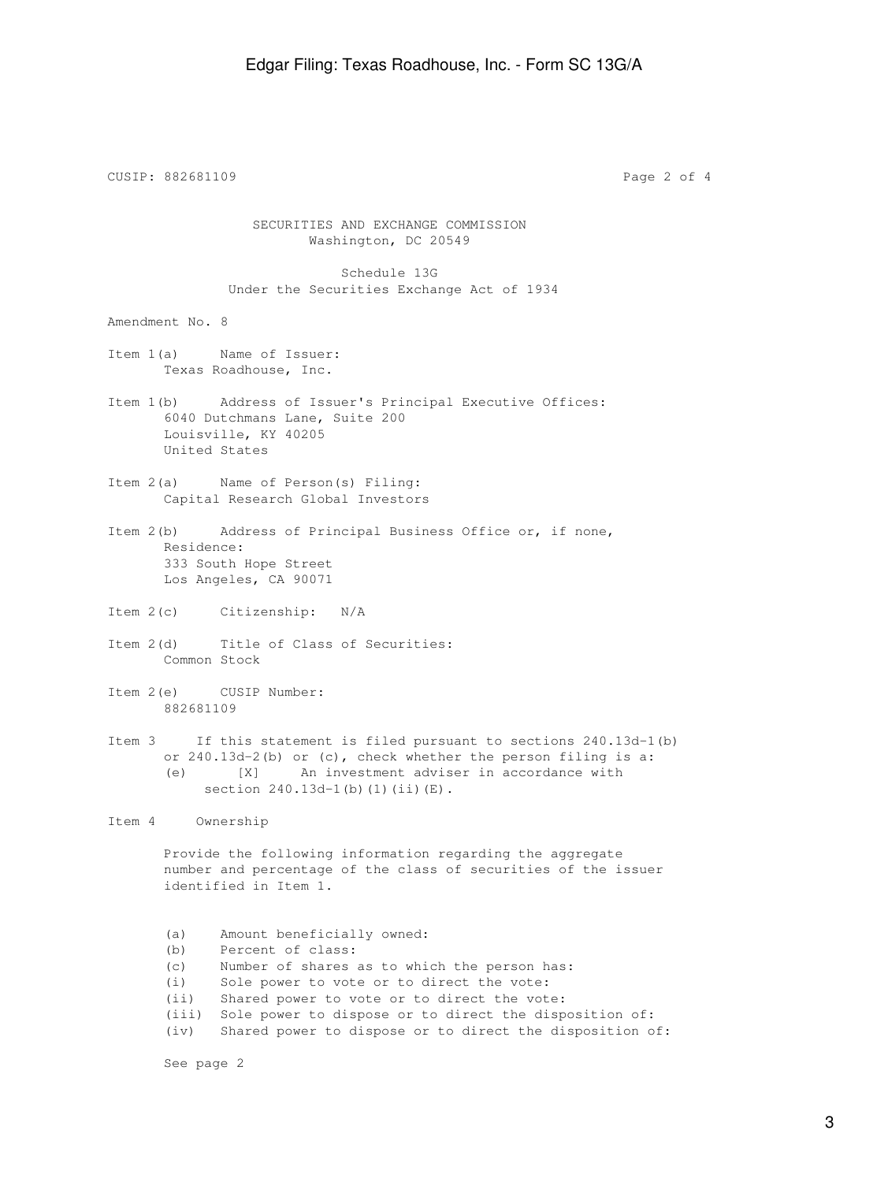CUSIP: 882681109 Page 2 of 4 SECURITIES AND EXCHANGE COMMISSION Washington, DC 20549 Schedule 13G Under the Securities Exchange Act of 1934 Amendment No. 8 Item 1(a) Name of Issuer: Texas Roadhouse, Inc. Item 1(b) Address of Issuer's Principal Executive Offices: 6040 Dutchmans Lane, Suite 200 Louisville, KY 40205 United States Item 2(a) Name of Person(s) Filing: Capital Research Global Investors Item 2(b) Address of Principal Business Office or, if none, Residence: 333 South Hope Street Los Angeles, CA 90071 Item 2(c) Citizenship: N/A Item 2(d) Title of Class of Securities: Common Stock Item 2(e) CUSIP Number: 882681109 Item 3 If this statement is filed pursuant to sections 240.13d-1(b) or 240.13d-2(b) or (c), check whether the person filing is a: (e) [X] An investment adviser in accordance with section 240.13d-1(b)(1)(ii)(E). Item 4 Ownership Provide the following information regarding the aggregate number and percentage of the class of securities of the issuer identified in Item 1. (a) Amount beneficially owned: (b) Percent of class: (c) Number of shares as to which the person has: (i) Sole power to vote or to direct the vote: (ii) Shared power to vote or to direct the vote: (iii) Sole power to dispose or to direct the disposition of:

(iv) Shared power to dispose or to direct the disposition of:

See page 2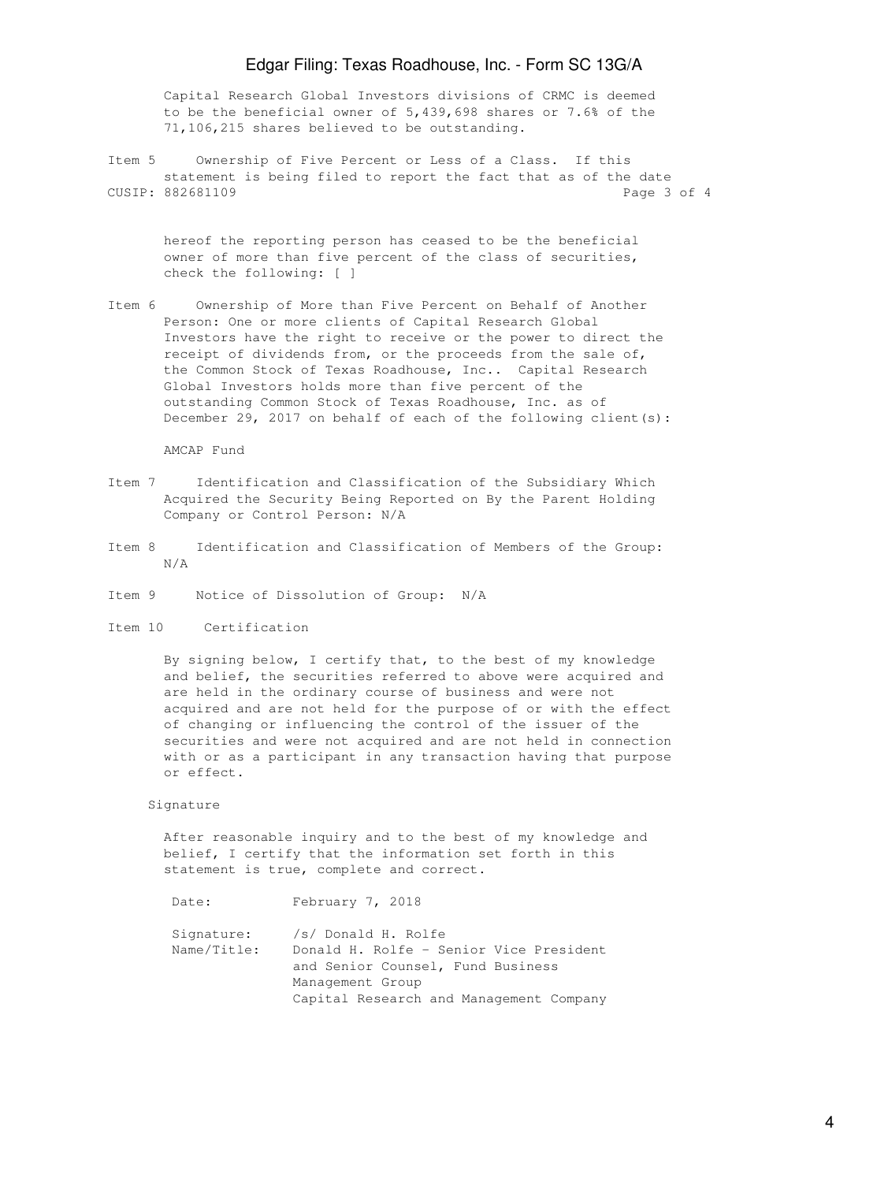## Edgar Filing: Texas Roadhouse, Inc. - Form SC 13G/A

 Capital Research Global Investors divisions of CRMC is deemed to be the beneficial owner of 5,439,698 shares or 7.6% of the 71,106,215 shares believed to be outstanding.

Item 5 Ownership of Five Percent or Less of a Class. If this statement is being filed to report the fact that as of the date CUSIP: 882681109 Page 3 of 4

 hereof the reporting person has ceased to be the beneficial owner of more than five percent of the class of securities, check the following: [ ]

Item 6 Ownership of More than Five Percent on Behalf of Another Person: One or more clients of Capital Research Global Investors have the right to receive or the power to direct the receipt of dividends from, or the proceeds from the sale of, the Common Stock of Texas Roadhouse, Inc.. Capital Research Global Investors holds more than five percent of the outstanding Common Stock of Texas Roadhouse, Inc. as of December 29, 2017 on behalf of each of the following client(s):

AMCAP Fund

- Item 7 Identification and Classification of the Subsidiary Which Acquired the Security Being Reported on By the Parent Holding Company or Control Person: N/A
- Item 8 Identification and Classification of Members of the Group: N/A
- Item 9 Notice of Dissolution of Group: N/A
- Item 10 Certification

 By signing below, I certify that, to the best of my knowledge and belief, the securities referred to above were acquired and are held in the ordinary course of business and were not acquired and are not held for the purpose of or with the effect of changing or influencing the control of the issuer of the securities and were not acquired and are not held in connection with or as a participant in any transaction having that purpose or effect.

## Signature

 After reasonable inquiry and to the best of my knowledge and belief, I certify that the information set forth in this statement is true, complete and correct.

Date: February 7, 2018

 Signature: /s/ Donald H. Rolfe Name/Title: Donald H. Rolfe - Senior Vice President and Senior Counsel, Fund Business Management Group Capital Research and Management Company